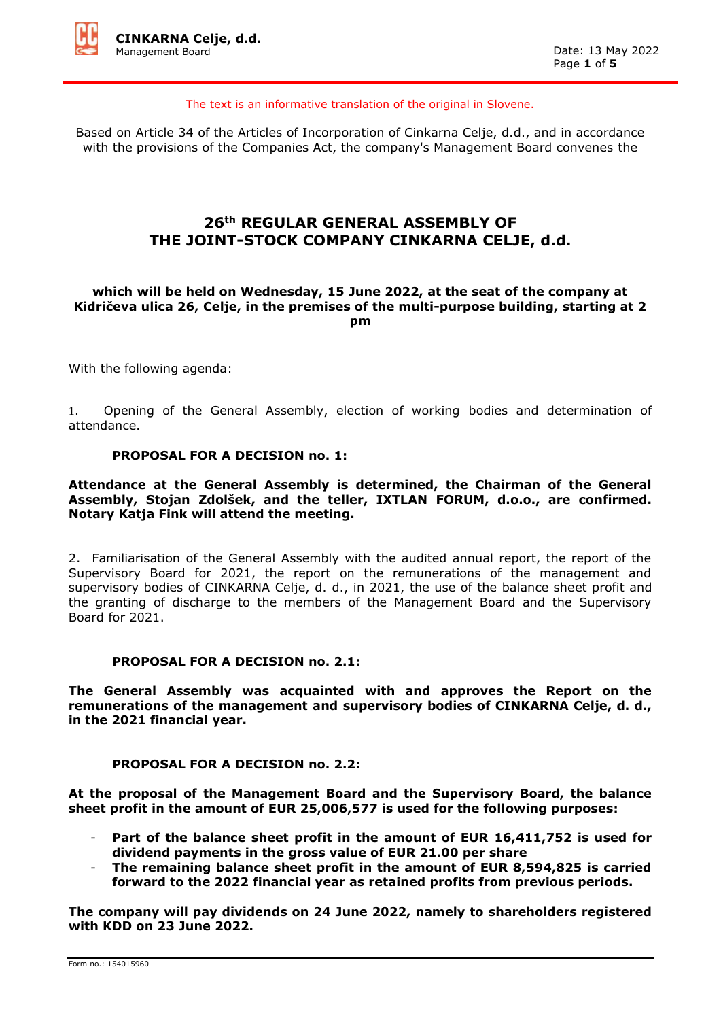

The text is an informative translation of the original in Slovene.

Based on Article 34 of the Articles of Incorporation of Cinkarna Celje, d.d., and in accordance with the provisions of the Companies Act, the company's Management Board convenes the

# **26th REGULAR GENERAL ASSEMBLY OF THE JOINT-STOCK COMPANY CINKARNA CELJE, d.d.**

## **which will be held on Wednesday, 15 June 2022, at the seat of the company at Kidričeva ulica 26, Celje, in the premises of the multi-purpose building, starting at 2 pm**

With the following agenda:

1. Opening of the General Assembly, election of working bodies and determination of attendance.

#### **PROPOSAL FOR A DECISION no. 1:**

## **Attendance at the General Assembly is determined, the Chairman of the General Assembly, Stojan Zdolšek, and the teller, IXTLAN FORUM, d.o.o., are confirmed. Notary Katja Fink will attend the meeting.**

2. Familiarisation of the General Assembly with the audited annual report, the report of the Supervisory Board for 2021, the report on the remunerations of the management and supervisory bodies of CINKARNA Celje, d. d., in 2021, the use of the balance sheet profit and the granting of discharge to the members of the Management Board and the Supervisory Board for 2021.

#### **PROPOSAL FOR A DECISION no. 2.1:**

**The General Assembly was acquainted with and approves the Report on the remunerations of the management and supervisory bodies of CINKARNA Celje, d. d., in the 2021 financial year.**

#### **PROPOSAL FOR A DECISION no. 2.2:**

**At the proposal of the Management Board and the Supervisory Board, the balance sheet profit in the amount of EUR 25,006,577 is used for the following purposes:**

- Part of the balance sheet profit in the amount of EUR 16,411,752 is used for **dividend payments in the gross value of EUR 21.00 per share**
- The remaining balance sheet profit in the amount of EUR 8,594,825 is carried **forward to the 2022 financial year as retained profits from previous periods.**

**The company will pay dividends on 24 June 2022, namely to shareholders registered with KDD on 23 June 2022.**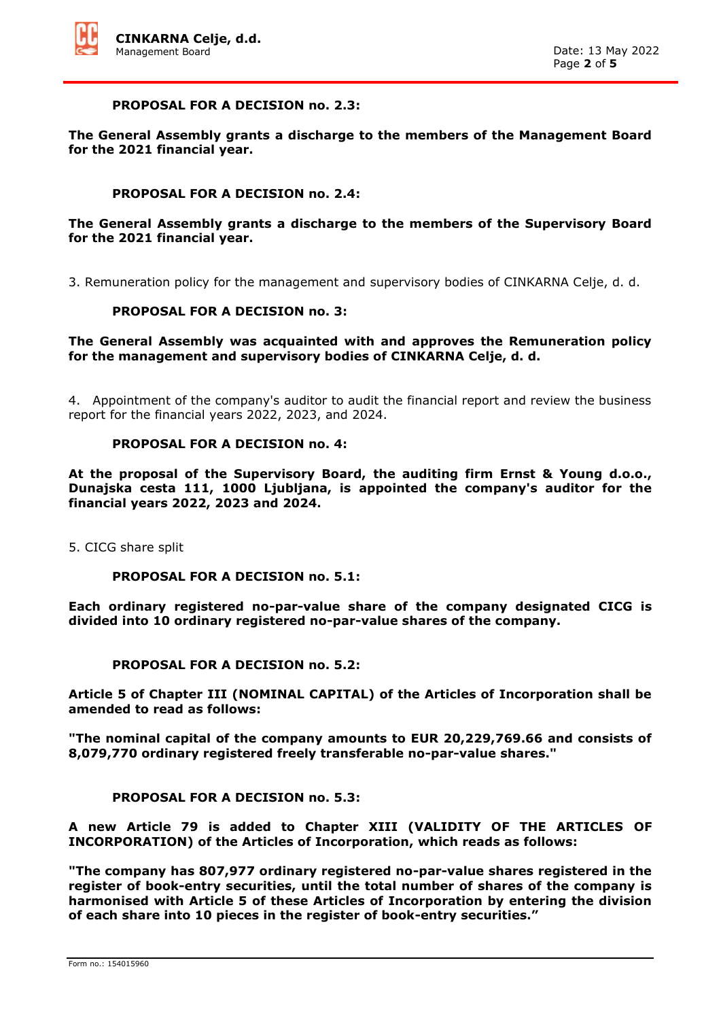

#### **PROPOSAL FOR A DECISION no. 2.3:**

**The General Assembly grants a discharge to the members of the Management Board for the 2021 financial year.** 

#### **PROPOSAL FOR A DECISION no. 2.4:**

## **The General Assembly grants a discharge to the members of the Supervisory Board for the 2021 financial year.**

3. Remuneration policy for the management and supervisory bodies of CINKARNA Celje, d. d.

## **PROPOSAL FOR A DECISION no. 3:**

#### **The General Assembly was acquainted with and approves the Remuneration policy for the management and supervisory bodies of CINKARNA Celje, d. d.**

4. Appointment of the company's auditor to audit the financial report and review the business report for the financial years 2022, 2023, and 2024.

## **PROPOSAL FOR A DECISION no. 4:**

**At the proposal of the Supervisory Board, the auditing firm Ernst & Young d.o.o., Dunajska cesta 111, 1000 Ljubljana, is appointed the company's auditor for the financial years 2022, 2023 and 2024.**

5. CICG share split

## **PROPOSAL FOR A DECISION no. 5.1:**

**Each ordinary registered no-par-value share of the company designated CICG is divided into 10 ordinary registered no-par-value shares of the company.**

## **PROPOSAL FOR A DECISION no. 5.2:**

**Article 5 of Chapter III (NOMINAL CAPITAL) of the Articles of Incorporation shall be amended to read as follows:**

**"The nominal capital of the company amounts to EUR 20,229,769.66 and consists of 8,079,770 ordinary registered freely transferable no-par-value shares."**

## **PROPOSAL FOR A DECISION no. 5.3:**

**A new Article 79 is added to Chapter XIII (VALIDITY OF THE ARTICLES OF INCORPORATION) of the Articles of Incorporation, which reads as follows:**

**"The company has 807,977 ordinary registered no-par-value shares registered in the register of book-entry securities, until the total number of shares of the company is harmonised with Article 5 of these Articles of Incorporation by entering the division of each share into 10 pieces in the register of book-entry securities."**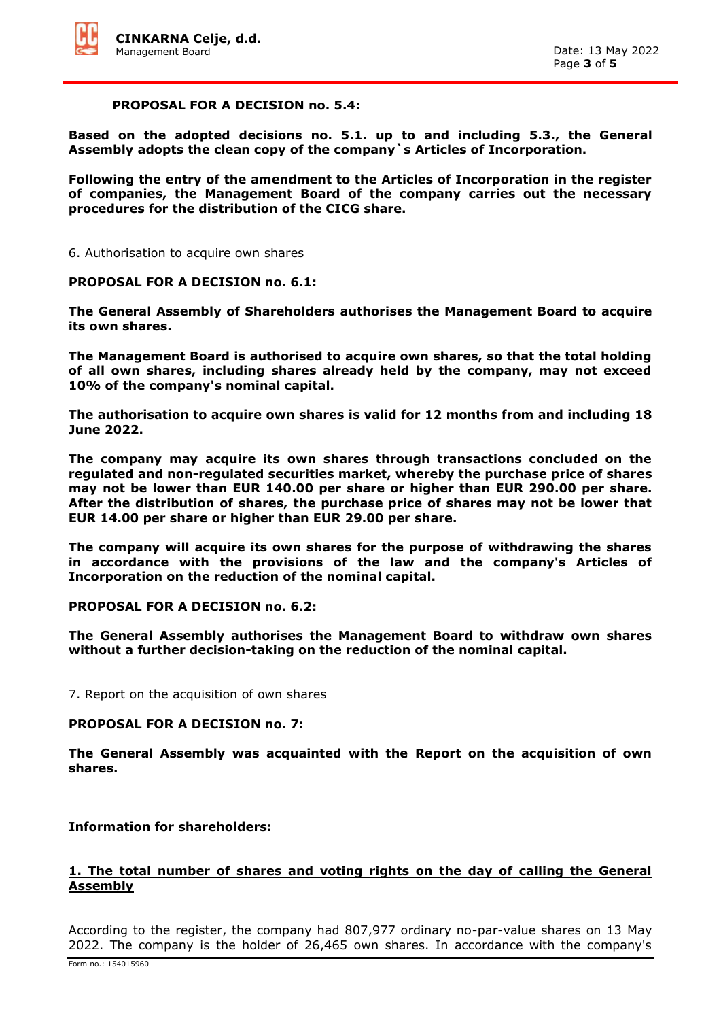#### **PROPOSAL FOR A DECISION no. 5.4:**

**Based on the adopted decisions no. 5.1. up to and including 5.3., the General Assembly adopts the clean copy of the company`s Articles of Incorporation.** 

**Following the entry of the amendment to the Articles of Incorporation in the register of companies, the Management Board of the company carries out the necessary procedures for the distribution of the CICG share.**

6. Authorisation to acquire own shares

#### **PROPOSAL FOR A DECISION no. 6.1:**

**The General Assembly of Shareholders authorises the Management Board to acquire its own shares.**

**The Management Board is authorised to acquire own shares, so that the total holding of all own shares, including shares already held by the company, may not exceed 10% of the company's nominal capital.**

**The authorisation to acquire own shares is valid for 12 months from and including 18 June 2022.**

**The company may acquire its own shares through transactions concluded on the regulated and non-regulated securities market, whereby the purchase price of shares may not be lower than EUR 140.00 per share or higher than EUR 290.00 per share. After the distribution of shares, the purchase price of shares may not be lower that EUR 14.00 per share or higher than EUR 29.00 per share.**

**The company will acquire its own shares for the purpose of withdrawing the shares in accordance with the provisions of the law and the company's Articles of Incorporation on the reduction of the nominal capital.**

## **PROPOSAL FOR A DECISION no. 6.2:**

**The General Assembly authorises the Management Board to withdraw own shares without a further decision-taking on the reduction of the nominal capital.**

7. Report on the acquisition of own shares

## **PROPOSAL FOR A DECISION no. 7:**

**The General Assembly was acquainted with the Report on the acquisition of own shares.**

## **Information for shareholders:**

## **1. The total number of shares and voting rights on the day of calling the General Assembly**

According to the register, the company had 807,977 ordinary no-par-value shares on 13 May 2022. The company is the holder of 26,465 own shares. In accordance with the company's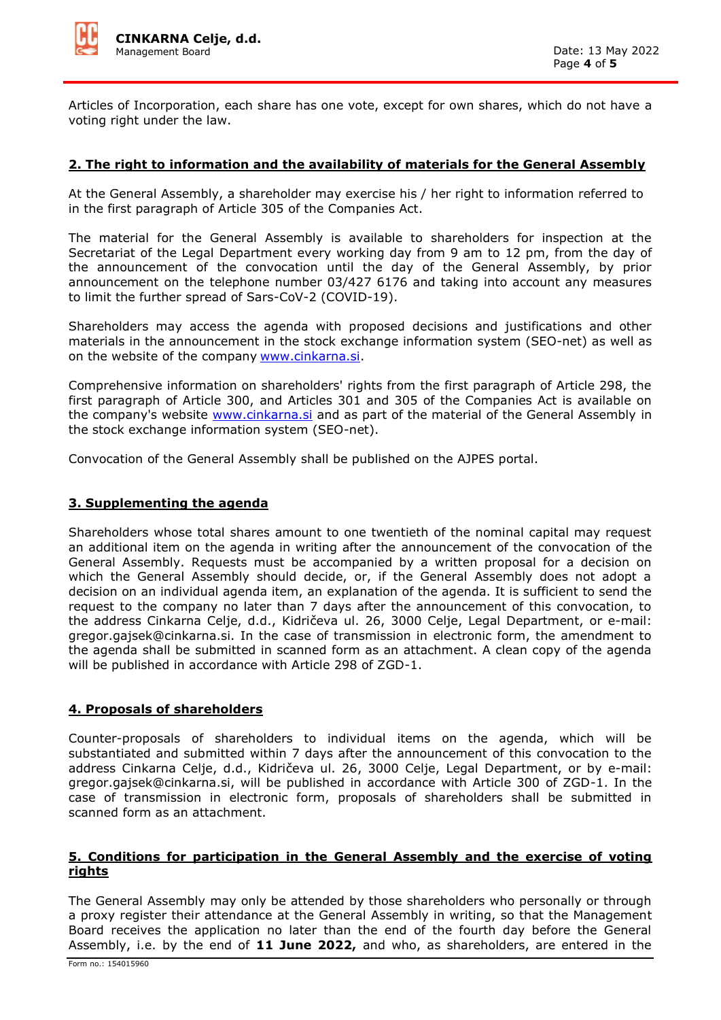

Articles of Incorporation, each share has one vote, except for own shares, which do not have a voting right under the law.

## **2. The right to information and the availability of materials for the General Assembly**

At the General Assembly, a shareholder may exercise his / her right to information referred to in the first paragraph of Article 305 of the Companies Act.

The material for the General Assembly is available to shareholders for inspection at the Secretariat of the Legal Department every working day from 9 am to 12 pm, from the day of the announcement of the convocation until the day of the General Assembly, by prior announcement on the telephone number 03/427 6176 and taking into account any measures to limit the further spread of Sars-CoV-2 (COVID-19).

Shareholders may access the agenda with proposed decisions and justifications and other materials in the announcement in the stock exchange information system (SEO-net) as well as on the website of the company [www.cinkarna.si.](http://www.cinkarna.si/)

Comprehensive information on shareholders' rights from the first paragraph of Article 298, the first paragraph of Article 300, and Articles 301 and 305 of the Companies Act is available on the company's website [www.cinkarna.si](http://www.cinkarna.si/) and as part of the material of the General Assembly in the stock exchange information system (SEO-net).

Convocation of the General Assembly shall be published on the AJPES portal.

#### **3. Supplementing the agenda**

Shareholders whose total shares amount to one twentieth of the nominal capital may request an additional item on the agenda in writing after the announcement of the convocation of the General Assembly. Requests must be accompanied by a written proposal for a decision on which the General Assembly should decide, or, if the General Assembly does not adopt a decision on an individual agenda item, an explanation of the agenda. It is sufficient to send the request to the company no later than 7 days after the announcement of this convocation, to the address Cinkarna Celje, d.d., Kidričeva ul. 26, 3000 Celje, Legal Department, or e-mail: gregor.gajsek@cinkarna.si. In the case of transmission in electronic form, the amendment to the agenda shall be submitted in scanned form as an attachment. A clean copy of the agenda will be published in accordance with Article 298 of ZGD-1.

## **4. Proposals of shareholders**

Counter-proposals of shareholders to individual items on the agenda, which will be substantiated and submitted within 7 days after the announcement of this convocation to the address Cinkarna Celje, d.d., Kidričeva ul. 26, 3000 Celje, Legal Department, or by e-mail: gregor.gajsek@cinkarna.si, will be published in accordance with Article 300 of ZGD-1. In the case of transmission in electronic form, proposals of shareholders shall be submitted in scanned form as an attachment.

#### **5. Conditions for participation in the General Assembly and the exercise of voting rights**

The General Assembly may only be attended by those shareholders who personally or through a proxy register their attendance at the General Assembly in writing, so that the Management Board receives the application no later than the end of the fourth day before the General Assembly, i.e. by the end of **11 June 2022,** and who, as shareholders, are entered in the